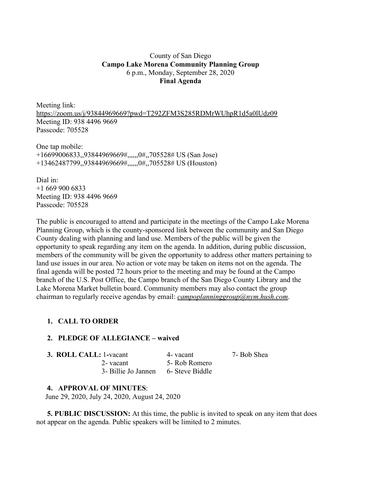# County of San Diego **Campo Lake Morena Community Planning Group** 6 p.m., Monday, September 28, 2020 **Final Agenda**

Meeting link: https://zoom.us/j/93844969669?pwd=T292ZFM3S285RDMrWUhpR1d5a0lUdz09 Meeting ID: 938 4496 9669 Passcode: 705528

One tap mobile: +16699006833,,93844969669#,,,,,,0#,,705528# US (San Jose) +13462487799,,93844969669#,,,,,,0#,,705528# US (Houston)

Dial in: +1 669 900 6833 Meeting ID: 938 4496 9669 Passcode: 705528

The public is encouraged to attend and participate in the meetings of the Campo Lake Morena Planning Group, which is the county-sponsored link between the community and San Diego County dealing with planning and land use. Members of the public will be given the opportunity to speak regarding any item on the agenda. In addition, during public discussion, members of the community will be given the opportunity to address other matters pertaining to land use issues in our area. No action or vote may be taken on items not on the agenda. The final agenda will be posted 72 hours prior to the meeting and may be found at the Campo branch of the U.S. Post Office, the Campo branch of the San Diego County Library and the Lake Morena Market bulletin board. Community members may also contact the group chairman to regularly receive agendas by email: *campoplanninggroup@nym.hush.com*.

# **1. CALL TO ORDER**

#### **2. PLEDGE OF ALLEGIANCE – waived**

| 4- vacant     | 7- Bob Shea                         |
|---------------|-------------------------------------|
| 5- Rob Romero |                                     |
|               |                                     |
|               | 3- Billie Jo Jannen 6- Steve Biddle |

#### **4. APPROVAL OF MINUTES**:

June 29, 2020, July 24, 2020, August 24, 2020

**5. PUBLIC DISCUSSION:** At this time, the public is invited to speak on any item that does not appear on the agenda. Public speakers will be limited to 2 minutes.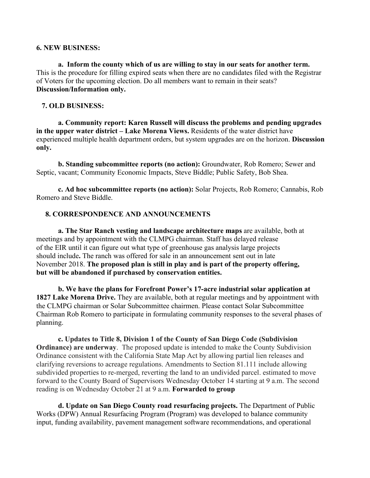#### **6. NEW BUSINESS:**

**a. Inform the county which of us are willing to stay in our seats for another term.** This is the procedure for filling expired seats when there are no candidates filed with the Registrar of Voters for the upcoming election. Do all members want to remain in their seats? **Discussion/Information only.**

#### **7. OLD BUSINESS:**

**a. Community report: Karen Russell will discuss the problems and pending upgrades in the upper water district – Lake Morena Views.** Residents of the water district have experienced multiple health department orders, but system upgrades are on the horizon. **Discussion only.**

**b. Standing subcommittee reports (no action):** Groundwater, Rob Romero; Sewer and Septic, vacant; Community Economic Impacts, Steve Biddle; Public Safety, Bob Shea.

**c. Ad hoc subcommittee reports (no action):** Solar Projects, Rob Romero; Cannabis, Rob Romero and Steve Biddle.

# **8. CORRESPONDENCE AND ANNOUNCEMENTS**

**a. The Star Ranch vesting and landscape architecture maps** are available, both at meetings and by appointment with the CLMPG chairman. Staff has delayed release of the EIR until it can figure out what type of greenhouse gas analysis large projects should include**.** The ranch was offered for sale in an announcement sent out in late November 2018. **The proposed plan is still in play and is part of the property offering, but will be abandoned if purchased by conservation entities.**

**b. We have the plans for Forefront Power's 17-acre industrial solar application at 1827 Lake Morena Drive.** They are available, both at regular meetings and by appointment with the CLMPG chairman or Solar Subcommittee chairmen. Please contact Solar Subcommittee Chairman Rob Romero to participate in formulating community responses to the several phases of planning.

**c. Updates to Title 8, Division 1 of the County of San Diego Code (Subdivision Ordinance) are underway**. The proposed update is intended to make the County Subdivision Ordinance consistent with the California State Map Act by allowing partial lien releases and clarifying reversions to acreage regulations. Amendments to Section 81.111 include allowing subdivided properties to re-merged, reverting the land to an undivided parcel. estimated to move forward to the County Board of Supervisors Wednesday October 14 starting at 9 a.m. The second reading is on Wednesday October 21 at 9 a.m. **Forwarded to group**

**d. Update on San Diego County road resurfacing projects.** The Department of Public Works (DPW) Annual Resurfacing Program (Program) was developed to balance community input, funding availability, pavement management software recommendations, and operational